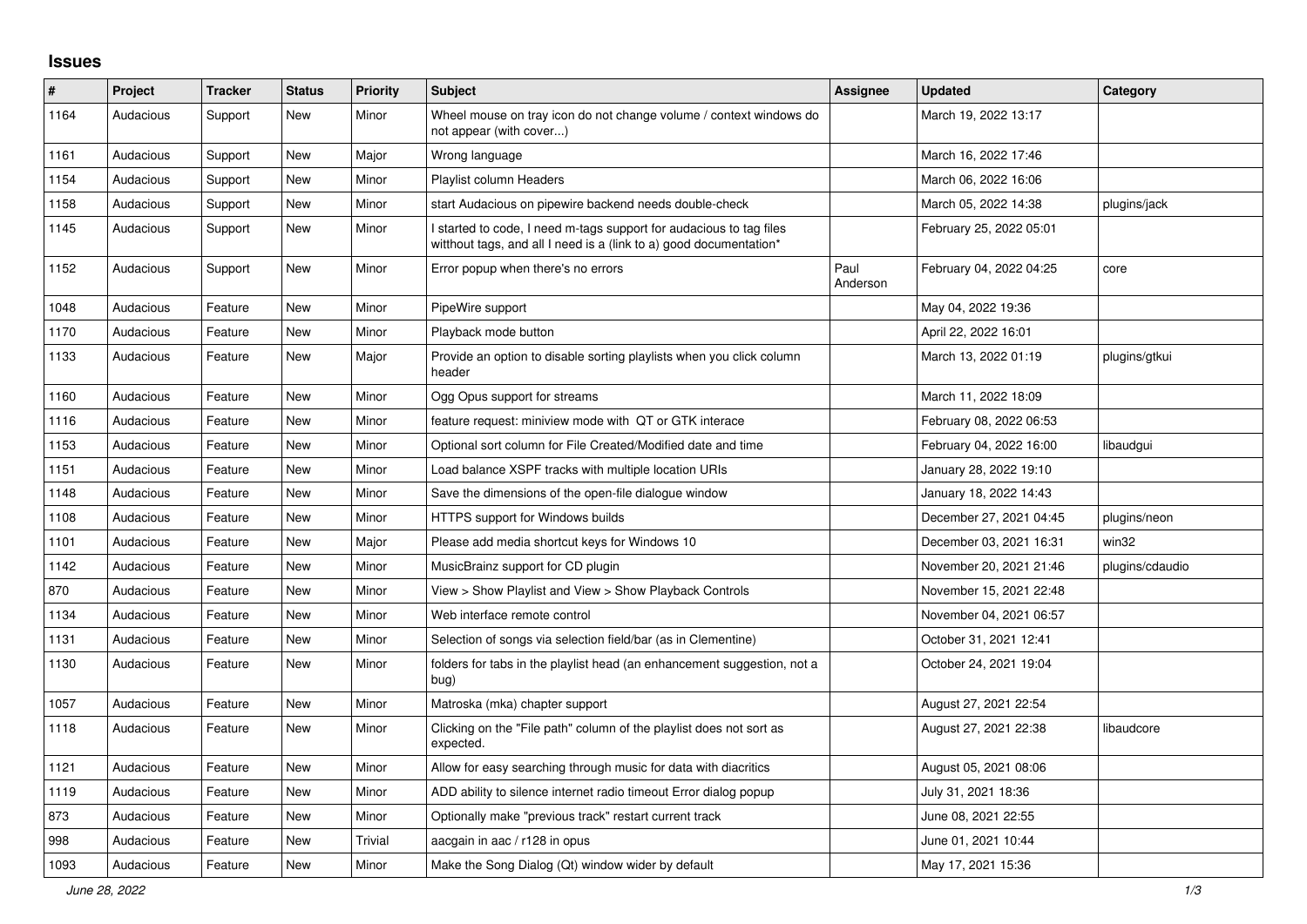## **Issues**

| ∦    | Project   | <b>Tracker</b> | <b>Status</b> | <b>Priority</b> | <b>Subject</b>                                                                                                                            | Assignee         | <b>Updated</b>          | Category        |
|------|-----------|----------------|---------------|-----------------|-------------------------------------------------------------------------------------------------------------------------------------------|------------------|-------------------------|-----------------|
| 1164 | Audacious | Support        | <b>New</b>    | Minor           | Wheel mouse on tray icon do not change volume / context windows do<br>not appear (with cover)                                             |                  | March 19, 2022 13:17    |                 |
| 1161 | Audacious | Support        | New           | Major           | Wrong language                                                                                                                            |                  | March 16, 2022 17:46    |                 |
| 1154 | Audacious | Support        | New           | Minor           | Playlist column Headers                                                                                                                   |                  | March 06, 2022 16:06    |                 |
| 1158 | Audacious | Support        | <b>New</b>    | Minor           | start Audacious on pipewire backend needs double-check                                                                                    |                  | March 05, 2022 14:38    | plugins/jack    |
| 1145 | Audacious | Support        | New           | Minor           | I started to code, I need m-tags support for audacious to tag files<br>witthout tags, and all I need is a (link to a) good documentation* |                  | February 25, 2022 05:01 |                 |
| 1152 | Audacious | Support        | New           | Minor           | Error popup when there's no errors                                                                                                        | Paul<br>Anderson | February 04, 2022 04:25 | core            |
| 1048 | Audacious | Feature        | New           | Minor           | PipeWire support                                                                                                                          |                  | May 04, 2022 19:36      |                 |
| 1170 | Audacious | Feature        | New           | Minor           | Playback mode button                                                                                                                      |                  | April 22, 2022 16:01    |                 |
| 1133 | Audacious | Feature        | <b>New</b>    | Major           | Provide an option to disable sorting playlists when you click column<br>header                                                            |                  | March 13, 2022 01:19    | plugins/gtkui   |
| 1160 | Audacious | Feature        | New           | Minor           | Ogg Opus support for streams                                                                                                              |                  | March 11, 2022 18:09    |                 |
| 1116 | Audacious | Feature        | New           | Minor           | feature request: miniview mode with QT or GTK interace                                                                                    |                  | February 08, 2022 06:53 |                 |
| 1153 | Audacious | Feature        | <b>New</b>    | Minor           | Optional sort column for File Created/Modified date and time                                                                              |                  | February 04, 2022 16:00 | libaudgui       |
| 1151 | Audacious | Feature        | <b>New</b>    | Minor           | Load balance XSPF tracks with multiple location URIs                                                                                      |                  | January 28, 2022 19:10  |                 |
| 1148 | Audacious | Feature        | <b>New</b>    | Minor           | Save the dimensions of the open-file dialogue window                                                                                      |                  | January 18, 2022 14:43  |                 |
| 1108 | Audacious | Feature        | New           | Minor           | HTTPS support for Windows builds                                                                                                          |                  | December 27, 2021 04:45 | plugins/neon    |
| 1101 | Audacious | Feature        | New           | Major           | Please add media shortcut keys for Windows 10                                                                                             |                  | December 03, 2021 16:31 | win32           |
| 1142 | Audacious | Feature        | <b>New</b>    | Minor           | MusicBrainz support for CD plugin                                                                                                         |                  | November 20, 2021 21:46 | plugins/cdaudio |
| 870  | Audacious | Feature        | <b>New</b>    | Minor           | View > Show Playlist and View > Show Playback Controls                                                                                    |                  | November 15, 2021 22:48 |                 |
| 1134 | Audacious | Feature        | New           | Minor           | Web interface remote control                                                                                                              |                  | November 04, 2021 06:57 |                 |
| 1131 | Audacious | Feature        | <b>New</b>    | Minor           | Selection of songs via selection field/bar (as in Clementine)                                                                             |                  | October 31, 2021 12:41  |                 |
| 1130 | Audacious | Feature        | New           | Minor           | folders for tabs in the playlist head (an enhancement suggestion, not a<br>bug)                                                           |                  | October 24, 2021 19:04  |                 |
| 1057 | Audacious | Feature        | <b>New</b>    | Minor           | Matroska (mka) chapter support                                                                                                            |                  | August 27, 2021 22:54   |                 |
| 1118 | Audacious | Feature        | New           | Minor           | Clicking on the "File path" column of the playlist does not sort as<br>expected.                                                          |                  | August 27, 2021 22:38   | libaudcore      |
| 1121 | Audacious | Feature        | <b>New</b>    | Minor           | Allow for easy searching through music for data with diacritics                                                                           |                  | August 05, 2021 08:06   |                 |
| 1119 | Audacious | Feature        | New           | Minor           | ADD ability to silence internet radio timeout Error dialog popup                                                                          |                  | July 31, 2021 18:36     |                 |
| 873  | Audacious | Feature        | New           | Minor           | Optionally make "previous track" restart current track                                                                                    |                  | June 08, 2021 22:55     |                 |
| 998  | Audacious | Feature        | New           | Trivial         | aacgain in aac / r128 in opus                                                                                                             |                  | June 01, 2021 10:44     |                 |
| 1093 | Audacious | Feature        | <b>New</b>    | Minor           | Make the Song Dialog (Qt) window wider by default                                                                                         |                  | May 17, 2021 15:36      |                 |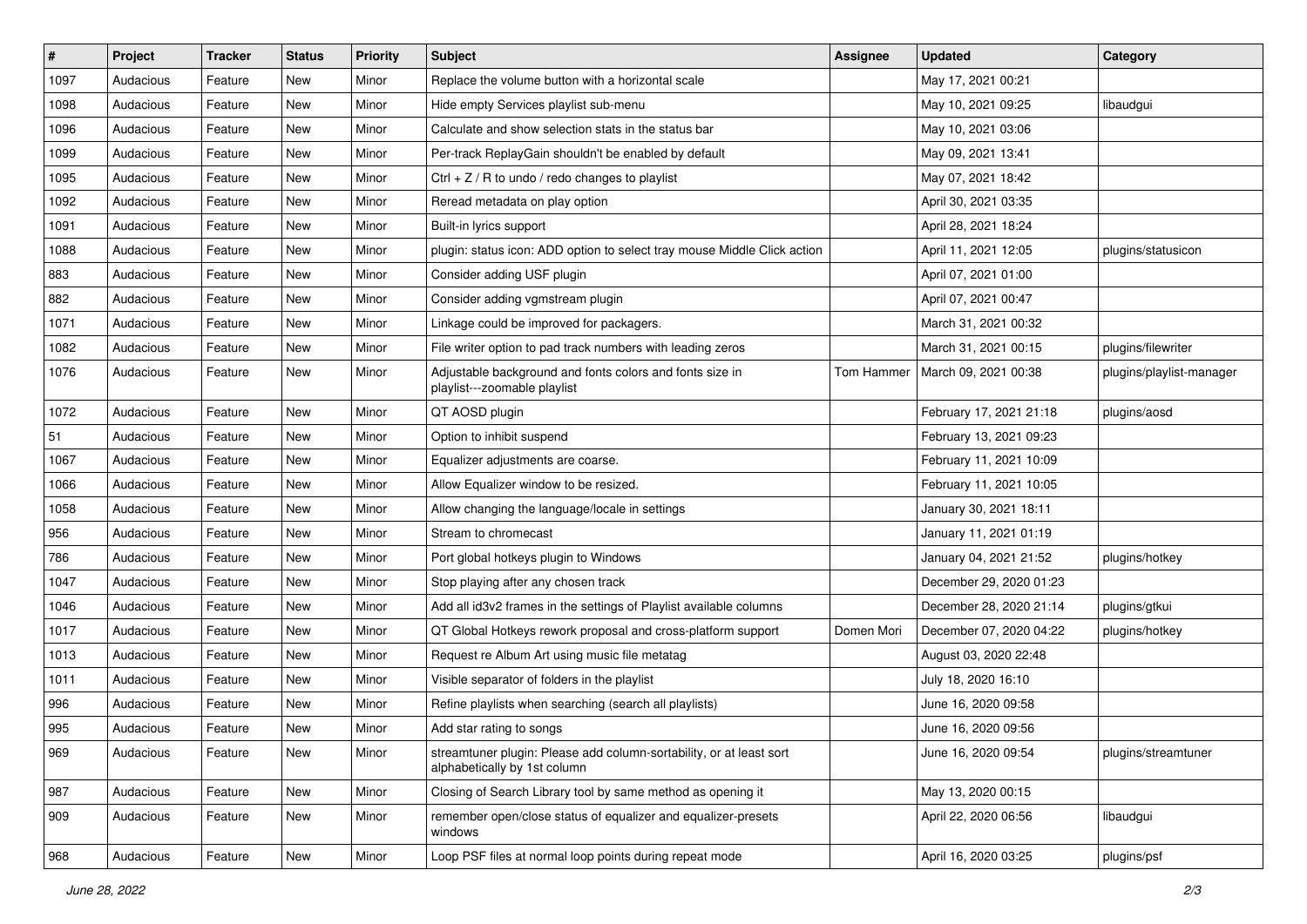| $\vert$ # | Project   | <b>Tracker</b> | <b>Status</b> | <b>Priority</b> | <b>Subject</b>                                                                                      | <b>Assignee</b> | <b>Updated</b>          | Category                 |
|-----------|-----------|----------------|---------------|-----------------|-----------------------------------------------------------------------------------------------------|-----------------|-------------------------|--------------------------|
| 1097      | Audacious | Feature        | New           | Minor           | Replace the volume button with a horizontal scale                                                   |                 | May 17, 2021 00:21      |                          |
| 1098      | Audacious | Feature        | <b>New</b>    | Minor           | Hide empty Services playlist sub-menu                                                               |                 | May 10, 2021 09:25      | libaudgui                |
| 1096      | Audacious | Feature        | New           | Minor           | Calculate and show selection stats in the status bar                                                |                 | May 10, 2021 03:06      |                          |
| 1099      | Audacious | Feature        | New           | Minor           | Per-track ReplayGain shouldn't be enabled by default                                                |                 | May 09, 2021 13:41      |                          |
| 1095      | Audacious | Feature        | <b>New</b>    | Minor           | Ctrl $+$ Z / R to undo / redo changes to playlist                                                   |                 | May 07, 2021 18:42      |                          |
| 1092      | Audacious | Feature        | New           | Minor           | Reread metadata on play option                                                                      |                 | April 30, 2021 03:35    |                          |
| 1091      | Audacious | Feature        | New           | Minor           | Built-in lyrics support                                                                             |                 | April 28, 2021 18:24    |                          |
| 1088      | Audacious | Feature        | New           | Minor           | plugin: status icon: ADD option to select tray mouse Middle Click action                            |                 | April 11, 2021 12:05    | plugins/statusicon       |
| 883       | Audacious | Feature        | New           | Minor           | Consider adding USF plugin                                                                          |                 | April 07, 2021 01:00    |                          |
| 882       | Audacious | Feature        | New           | Minor           | Consider adding vgmstream plugin                                                                    |                 | April 07, 2021 00:47    |                          |
| 1071      | Audacious | Feature        | New           | Minor           | Linkage could be improved for packagers.                                                            |                 | March 31, 2021 00:32    |                          |
| 1082      | Audacious | Feature        | New           | Minor           | File writer option to pad track numbers with leading zeros                                          |                 | March 31, 2021 00:15    | plugins/filewriter       |
| 1076      | Audacious | Feature        | New           | Minor           | Adjustable background and fonts colors and fonts size in<br>playlist---zoomable playlist            | Tom Hammer      | March 09, 2021 00:38    | plugins/playlist-manager |
| 1072      | Audacious | Feature        | New           | Minor           | QT AOSD plugin                                                                                      |                 | February 17, 2021 21:18 | plugins/aosd             |
| 51        | Audacious | Feature        | New           | Minor           | Option to inhibit suspend                                                                           |                 | February 13, 2021 09:23 |                          |
| 1067      | Audacious | Feature        | New           | Minor           | Equalizer adjustments are coarse.                                                                   |                 | February 11, 2021 10:09 |                          |
| 1066      | Audacious | Feature        | New           | Minor           | Allow Equalizer window to be resized.                                                               |                 | February 11, 2021 10:05 |                          |
| 1058      | Audacious | Feature        | New           | Minor           | Allow changing the language/locale in settings                                                      |                 | January 30, 2021 18:11  |                          |
| 956       | Audacious | Feature        | New           | Minor           | Stream to chromecast                                                                                |                 | January 11, 2021 01:19  |                          |
| 786       | Audacious | Feature        | New           | Minor           | Port global hotkeys plugin to Windows                                                               |                 | January 04, 2021 21:52  | plugins/hotkey           |
| 1047      | Audacious | Feature        | New           | Minor           | Stop playing after any chosen track                                                                 |                 | December 29, 2020 01:23 |                          |
| 1046      | Audacious | Feature        | <b>New</b>    | Minor           | Add all id3v2 frames in the settings of Playlist available columns                                  |                 | December 28, 2020 21:14 | plugins/gtkui            |
| 1017      | Audacious | Feature        | New           | Minor           | QT Global Hotkeys rework proposal and cross-platform support                                        | Domen Mori      | December 07, 2020 04:22 | plugins/hotkey           |
| 1013      | Audacious | Feature        | New           | Minor           | Request re Album Art using music file metatag                                                       |                 | August 03, 2020 22:48   |                          |
| 1011      | Audacious | Feature        | New           | Minor           | Visible separator of folders in the playlist                                                        |                 | July 18, 2020 16:10     |                          |
| 996       | Audacious | Feature        | New           | Minor           | Refine playlists when searching (search all playlists)                                              |                 | June 16, 2020 09:58     |                          |
| 995       | Audacious | Feature        | <b>New</b>    | Minor           | Add star rating to songs                                                                            |                 | June 16, 2020 09:56     |                          |
| 969       | Audacious | Feature        | New           | Minor           | streamtuner plugin: Please add column-sortability, or at least sort<br>alphabetically by 1st column |                 | June 16, 2020 09:54     | plugins/streamtuner      |
| 987       | Audacious | Feature        | New           | Minor           | Closing of Search Library tool by same method as opening it                                         |                 | May 13, 2020 00:15      |                          |
| 909       | Audacious | Feature        | New           | Minor           | remember open/close status of equalizer and equalizer-presets<br>windows                            |                 | April 22, 2020 06:56    | libaudgui                |
| 968       | Audacious | Feature        | New           | Minor           | Loop PSF files at normal loop points during repeat mode                                             |                 | April 16, 2020 03:25    | plugins/psf              |